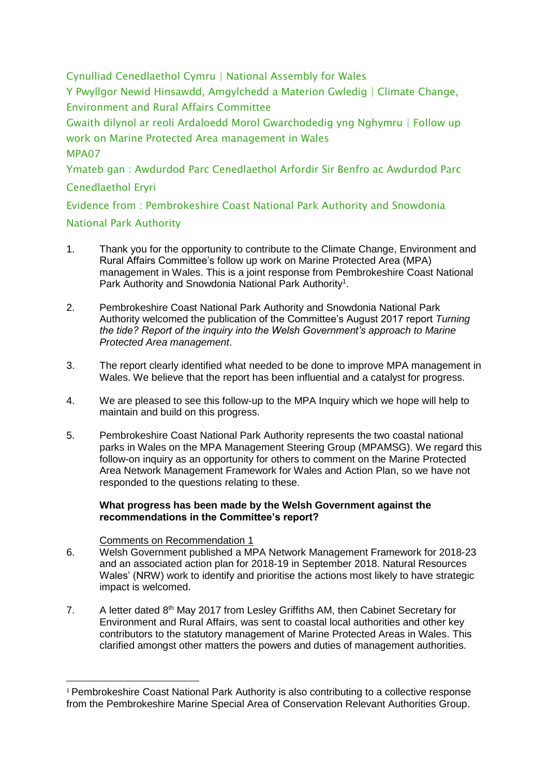Cynulliad Cenedlaethol Cymru | National Assembly for Wales Y Pwyllgor Newid Hinsawdd, Amgylchedd a Materion Gwledig | Climate Change, Environment and Rural Affairs Committee Gwaith dilynol ar reoli Ardaloedd Morol Gwarchodedig yng Nghymru | Follow up work on Marine Protected Area management in Wales MPA07 Ymateb gan : Awdurdod Parc Cenedlaethol Arfordir Sir Benfro ac Awdurdod Parc Cenedlaethol Eryri Evidence from : Pembrokeshire Coast National Park Authority and Snowdonia National Park Authority

- 1. Thank you for the opportunity to contribute to the Climate Change, Environment and Rural Affairs Committee's follow up work on Marine Protected Area (MPA) management in Wales. This is a joint response from Pembrokeshire Coast National Park Authority and Snowdonia National Park Authority<sup>1</sup>.
- 2. Pembrokeshire Coast National Park Authority and Snowdonia National Park Authority welcomed the publication of the Committee's August 2017 report *Turning the tide? Report of the inquiry into the Welsh Government's approach to Marine Protected Area management*.
- 3. The report clearly identified what needed to be done to improve MPA management in Wales. We believe that the report has been influential and a catalyst for progress.
- 4. We are pleased to see this follow-up to the MPA Inquiry which we hope will help to maintain and build on this progress.
- 5. Pembrokeshire Coast National Park Authority represents the two coastal national parks in Wales on the MPA Management Steering Group (MPAMSG). We regard this follow-on inquiry as an opportunity for others to comment on the Marine Protected Area Network Management Framework for Wales and Action Plan, so we have not responded to the questions relating to these.

# **What progress has been made by the Welsh Government against the recommendations in the Committee's report?**

# Comments on Recommendation 1

**.** 

- 6. Welsh Government published a MPA Network Management Framework for 2018-23 and an associated action plan for 2018-19 in September 2018. Natural Resources Wales' (NRW) work to identify and prioritise the actions most likely to have strategic impact is welcomed.
- 7. A letter dated 8<sup>th</sup> May 2017 from Lesley Griffiths AM, then Cabinet Secretary for Environment and Rural Affairs, was sent to coastal local authorities and other key contributors to the statutory management of Marine Protected Areas in Wales. This clarified amongst other matters the powers and duties of management authorities.

<sup>&</sup>lt;sup>1</sup> Pembrokeshire Coast National Park Authority is also contributing to a collective response from the Pembrokeshire Marine Special Area of Conservation Relevant Authorities Group.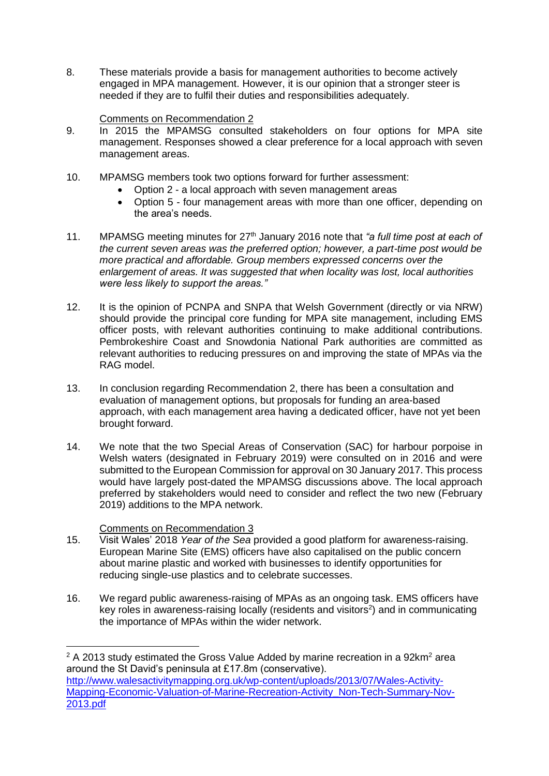8. These materials provide a basis for management authorities to become actively engaged in MPA management. However, it is our opinion that a stronger steer is needed if they are to fulfil their duties and responsibilities adequately.

# Comments on Recommendation 2

- 9. In 2015 the MPAMSG consulted stakeholders on four options for MPA site management. Responses showed a clear preference for a local approach with seven management areas.
- 10. MPAMSG members took two options forward for further assessment:
	- Option 2 a local approach with seven management areas
	- Option 5 four management areas with more than one officer, depending on the area's needs.
- 11. MPAMSG meeting minutes for 27th January 2016 note that *"a full time post at each of the current seven areas was the preferred option; however, a part-time post would be more practical and affordable. Group members expressed concerns over the enlargement of areas. It was suggested that when locality was lost, local authorities were less likely to support the areas."*
- 12. It is the opinion of PCNPA and SNPA that Welsh Government (directly or via NRW) should provide the principal core funding for MPA site management, including EMS officer posts, with relevant authorities continuing to make additional contributions. Pembrokeshire Coast and Snowdonia National Park authorities are committed as relevant authorities to reducing pressures on and improving the state of MPAs via the RAG model.
- 13. In conclusion regarding Recommendation 2, there has been a consultation and evaluation of management options, but proposals for funding an area-based approach, with each management area having a dedicated officer, have not yet been brought forward.
- 14. We note that the two Special Areas of Conservation (SAC) for harbour porpoise in Welsh waters (designated in February 2019) were consulted on in 2016 and were submitted to the European Commission for approval on 30 January 2017. This process would have largely post-dated the MPAMSG discussions above. The local approach preferred by stakeholders would need to consider and reflect the two new (February 2019) additions to the MPA network.

# Comments on Recommendation 3

**.** 

- 15. Visit Wales' 2018 *Year of the Sea* provided a good platform for awareness-raising. European Marine Site (EMS) officers have also capitalised on the public concern about marine plastic and worked with businesses to identify opportunities for reducing single-use plastics and to celebrate successes.
- 16. We regard public awareness-raising of MPAs as an ongoing task. EMS officers have key roles in awareness-raising locally (residents and visitors $2$ ) and in communicating the importance of MPAs within the wider network.

 $2$  A 2013 study estimated the Gross Value Added by marine recreation in a 92km $^2$  area around the St David's peninsula at £17.8m (conservative). [http://www.walesactivitymapping.org.uk/wp-content/uploads/2013/07/Wales-Activity-](http://www.walesactivitymapping.org.uk/wp-content/uploads/2013/07/Wales-Activity-Mapping-Economic-Valuation-of-Marine-Recreation-Activity_Non-Tech-Summary-Nov-2013.pdf)[Mapping-Economic-Valuation-of-Marine-Recreation-Activity\\_Non-Tech-Summary-Nov-](http://www.walesactivitymapping.org.uk/wp-content/uploads/2013/07/Wales-Activity-Mapping-Economic-Valuation-of-Marine-Recreation-Activity_Non-Tech-Summary-Nov-2013.pdf)[2013.pdf](http://www.walesactivitymapping.org.uk/wp-content/uploads/2013/07/Wales-Activity-Mapping-Economic-Valuation-of-Marine-Recreation-Activity_Non-Tech-Summary-Nov-2013.pdf)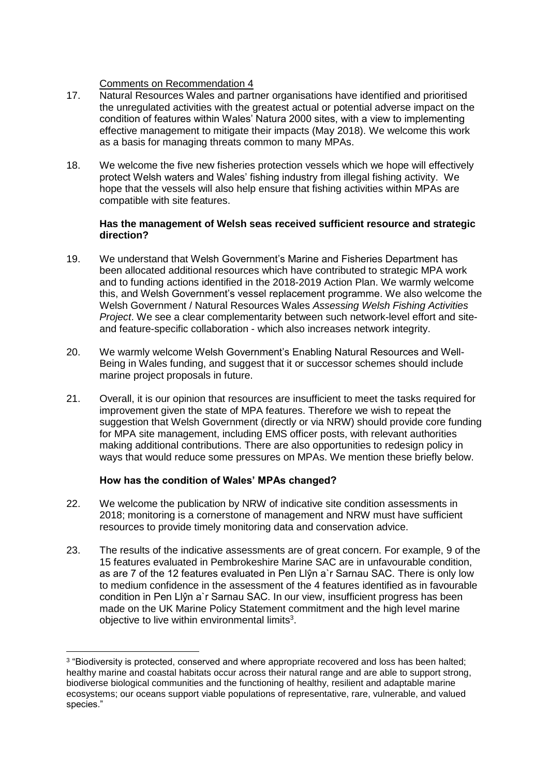# Comments on Recommendation 4

- 17. Natural Resources Wales and partner organisations have identified and prioritised the unregulated activities with the greatest actual or potential adverse impact on the condition of features within Wales' Natura 2000 sites, with a view to implementing effective management to mitigate their impacts (May 2018). We welcome this work as a basis for managing threats common to many MPAs.
- 18. We welcome the five new fisheries protection vessels which we hope will effectively protect Welsh waters and Wales' fishing industry from illegal fishing activity. We hope that the vessels will also help ensure that fishing activities within MPAs are compatible with site features.

#### **Has the management of Welsh seas received sufficient resource and strategic direction?**

- 19. We understand that Welsh Government's Marine and Fisheries Department has been allocated additional resources which have contributed to strategic MPA work and to funding actions identified in the 2018-2019 Action Plan. We warmly welcome this, and Welsh Government's vessel replacement programme. We also welcome the Welsh Government / Natural Resources Wales *Assessing Welsh Fishing Activities Project*. We see a clear complementarity between such network-level effort and siteand feature-specific collaboration - which also increases network integrity.
- 20. We warmly welcome Welsh Government's Enabling Natural Resources and Well-Being in Wales funding, and suggest that it or successor schemes should include marine project proposals in future.
- 21. Overall, it is our opinion that resources are insufficient to meet the tasks required for improvement given the state of MPA features. Therefore we wish to repeat the suggestion that Welsh Government (directly or via NRW) should provide core funding for MPA site management, including EMS officer posts, with relevant authorities making additional contributions. There are also opportunities to redesign policy in ways that would reduce some pressures on MPAs. We mention these briefly below.

# **How has the condition of Wales' MPAs changed?**

- 22. We welcome the publication by NRW of indicative site condition assessments in 2018; monitoring is a cornerstone of management and NRW must have sufficient resources to provide timely monitoring data and conservation advice.
- 23. The results of the indicative assessments are of great concern. For example, 9 of the 15 features evaluated in Pembrokeshire Marine SAC are in unfavourable condition, as are 7 of the 12 features evaluated in Pen Llŷn a`r Sarnau SAC. There is only low to medium confidence in the assessment of the 4 features identified as in favourable condition in Pen Llŷn a`r Sarnau SAC. In our view, insufficient progress has been made on the UK Marine Policy Statement commitment and the high level marine objective to live within environmental limits<sup>3</sup>.

**<sup>.</sup>** <sup>3</sup> "Biodiversity is protected, conserved and where appropriate recovered and loss has been halted; healthy marine and coastal habitats occur across their natural range and are able to support strong, biodiverse biological communities and the functioning of healthy, resilient and adaptable marine ecosystems; our oceans support viable populations of representative, rare, vulnerable, and valued species."